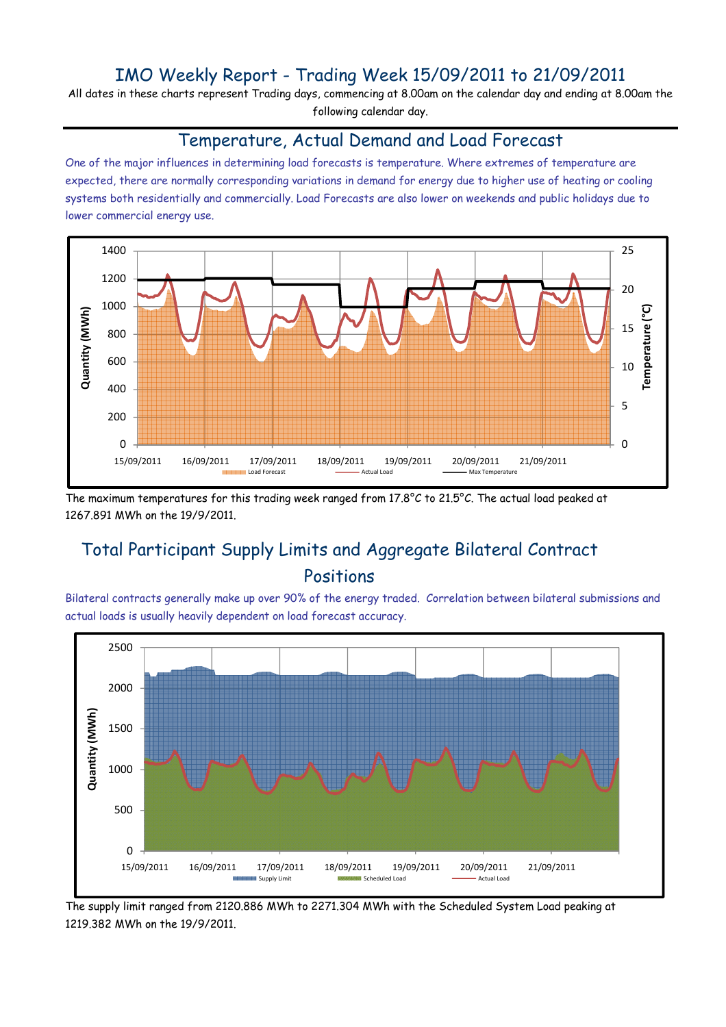### IMO Weekly Report - Trading Week 15/09/2011 to 21/09/2011

All dates in these charts represent Trading days, commencing at 8.00am on the calendar day and ending at 8.00am the following calendar day.

#### Temperature, Actual Demand and Load Forecast

One of the major influences in determining load forecasts is temperature. Where extremes of temperature are expected, there are normally corresponding variations in demand for energy due to higher use of heating or cooling systems both residentially and commercially. Load Forecasts are also lower on weekends and public holidays due to lower commercial energy use.



The maximum temperatures for this trading week ranged from 17.8°C to 21.5°C. The actual load peaked at 1267.891 MWh on the 19/9/2011.

# Total Participant Supply Limits and Aggregate Bilateral Contract Positions

Bilateral contracts generally make up over 90% of the energy traded. Correlation between bilateral submissions and actual loads is usually heavily dependent on load forecast accuracy.



The supply limit ranged from 2120.886 MWh to 2271.304 MWh with the Scheduled System Load peaking at 1219.382 MWh on the 19/9/2011.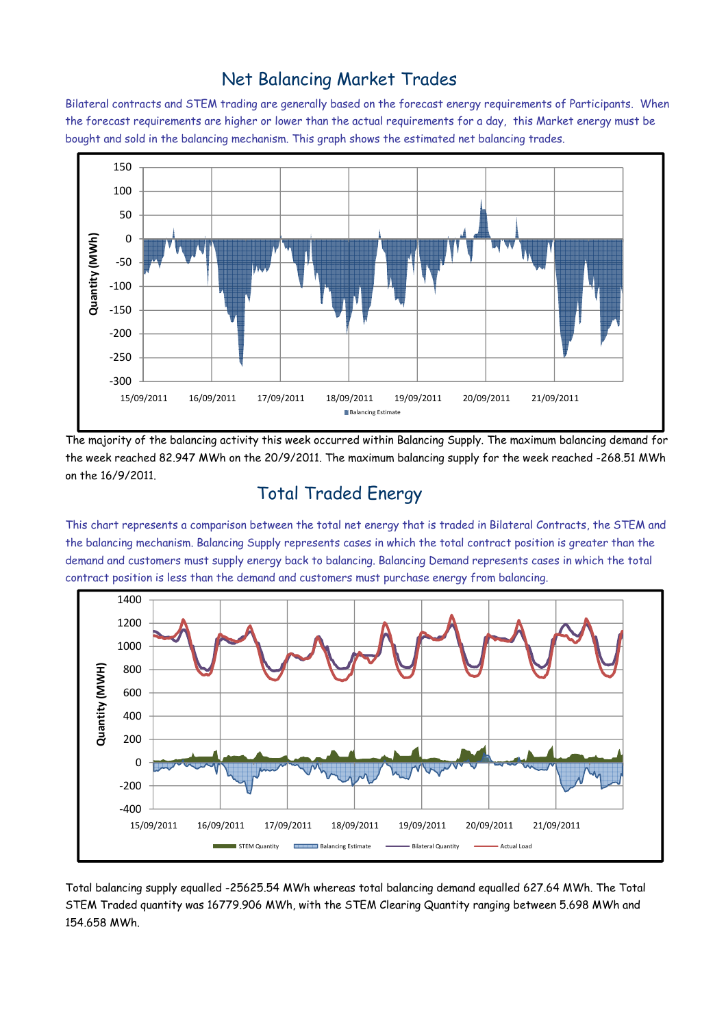### Net Balancing Market Trades

Bilateral contracts and STEM trading are generally based on the forecast energy requirements of Participants. When the forecast requirements are higher or lower than the actual requirements for a day, this Market energy must be bought and sold in the balancing mechanism. This graph shows the estimated net balancing trades.



The majority of the balancing activity this week occurred within Balancing Supply. The maximum balancing demand for the week reached 82.947 MWh on the 20/9/2011. The maximum balancing supply for the week reached -268.51 MWh on the 16/9/2011.

# Total Traded Energy

This chart represents a comparison between the total net energy that is traded in Bilateral Contracts, the STEM and the balancing mechanism. Balancing Supply represents cases in which the total contract position is greater than the demand and customers must supply energy back to balancing. Balancing Demand represents cases in which the total contract position is less than the demand and customers must purchase energy from balancing.



Total balancing supply equalled -25625.54 MWh whereas total balancing demand equalled 627.64 MWh. The Total STEM Traded quantity was 16779.906 MWh, with the STEM Clearing Quantity ranging between 5.698 MWh and 154.658 MWh.